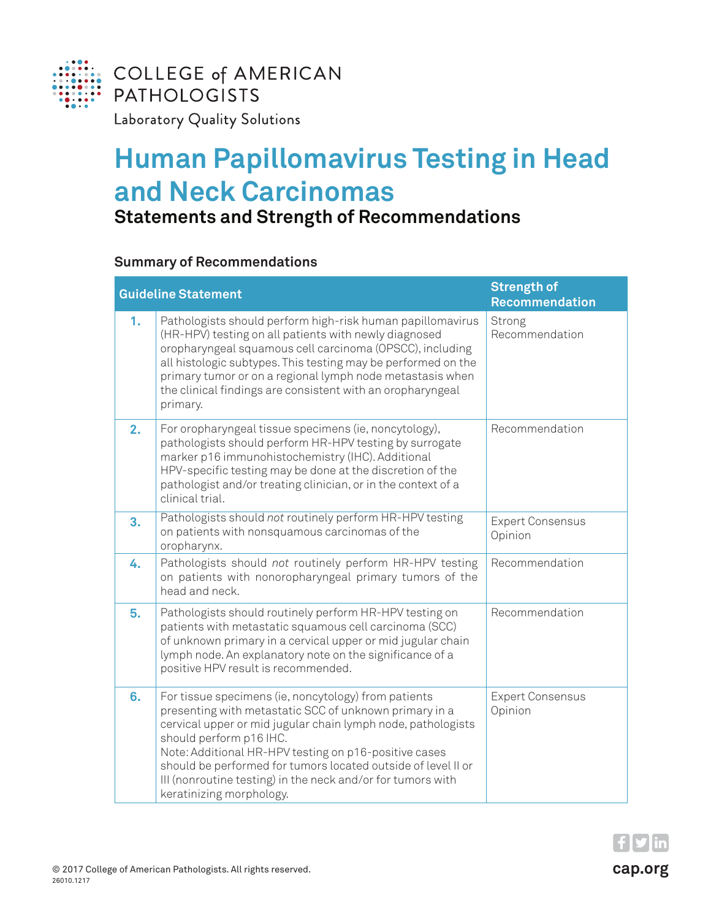

## **Human Papillomavirus Testing in Head and Neck Carcinomas**

## **Statements and Strength of Recommendations**

## **Summary of Recommendations**

| <b>Guideline Statement</b> |                                                                                                                                                                                                                                                                                                                                                                                                                                | <b>Strength of</b><br><b>Recommendation</b> |
|----------------------------|--------------------------------------------------------------------------------------------------------------------------------------------------------------------------------------------------------------------------------------------------------------------------------------------------------------------------------------------------------------------------------------------------------------------------------|---------------------------------------------|
| 1.                         | Pathologists should perform high-risk human papillomavirus<br>(HR-HPV) testing on all patients with newly diagnosed<br>oropharyngeal squamous cell carcinoma (OPSCC), including<br>all histologic subtypes. This testing may be performed on the<br>primary tumor or on a regional lymph node metastasis when<br>the clinical findings are consistent with an oropharyngeal<br>primary.                                        | Strong<br>Recommendation                    |
| 2.                         | For oropharyngeal tissue specimens (ie, noncytology),<br>pathologists should perform HR-HPV testing by surrogate<br>marker p16 immunohistochemistry (IHC). Additional<br>HPV-specific testing may be done at the discretion of the<br>pathologist and/or treating clinician, or in the context of a<br>clinical trial.                                                                                                         | Recommendation                              |
| 3.                         | Pathologists should not routinely perform HR-HPV testing<br>on patients with nonsquamous carcinomas of the<br>oropharynx.                                                                                                                                                                                                                                                                                                      | <b>Expert Consensus</b><br>Opinion          |
| 4.                         | Pathologists should not routinely perform HR-HPV testing<br>on patients with nonoropharyngeal primary tumors of the<br>head and neck.                                                                                                                                                                                                                                                                                          | Recommendation                              |
| 5.                         | Pathologists should routinely perform HR-HPV testing on<br>patients with metastatic squamous cell carcinoma (SCC)<br>of unknown primary in a cervical upper or mid jugular chain<br>lymph node. An explanatory note on the significance of a<br>positive HPV result is recommended.                                                                                                                                            | Recommendation                              |
| 6.                         | For tissue specimens (ie, noncytology) from patients<br>presenting with metastatic SCC of unknown primary in a<br>cervical upper or mid jugular chain lymph node, pathologists<br>should perform p16 IHC.<br>Note: Additional HR-HPV testing on p16-positive cases<br>should be performed for tumors located outside of level II or<br>III (nonroutine testing) in the neck and/or for tumors with<br>keratinizing morphology. | <b>Expert Consensus</b><br>Opinion          |